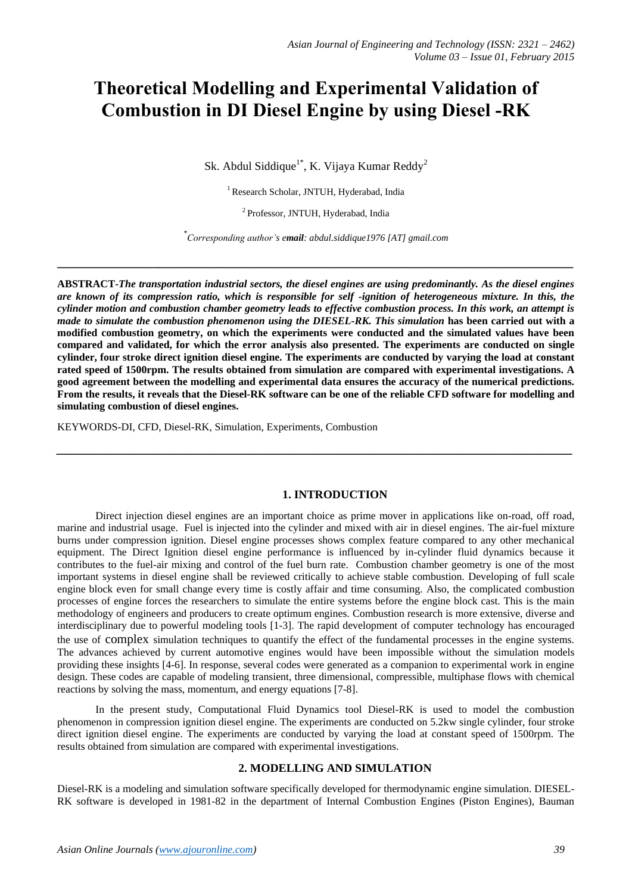# **Theoretical Modelling and Experimental Validation of Combustion in DI Diesel Engine by using Diesel -RK**

Sk. Abdul Siddique<sup>1\*</sup>, K. Vijaya Kumar Reddy<sup>2</sup>

<sup>1</sup> Research Scholar, JNTUH, Hyderabad, India

<sup>2</sup> Professor, JNTUH, Hyderabad, India

*\* Corresponding author's email: abdul.siddique1976 [AT] gmail.com*

**\_\_\_\_\_\_\_\_\_\_\_\_\_\_\_\_\_\_\_\_\_\_\_\_\_\_\_\_\_\_\_\_\_\_\_\_\_\_\_\_\_\_\_\_\_\_\_\_\_\_\_\_\_\_\_\_\_\_\_\_\_\_\_\_\_\_\_\_\_\_\_\_\_\_\_\_\_\_\_\_\_**

**ABSTRACT-***The transportation industrial sectors, the diesel engines are using predominantly. As the diesel engines are known of its compression ratio, which is responsible for self -ignition of heterogeneous mixture. In this, the cylinder motion and combustion chamber geometry leads to effective combustion process. In this work, an attempt is made to simulate the combustion phenomenon using the DIESEL-RK. This simulation* **has been carried out with a modified combustion geometry, on which the experiments were conducted and the simulated values have been compared and validated, for which the error analysis also presented. The experiments are conducted on single cylinder, four stroke direct ignition diesel engine. The experiments are conducted by varying the load at constant rated speed of 1500rpm. The results obtained from simulation are compared with experimental investigations. A good agreement between the modelling and experimental data ensures the accuracy of the numerical predictions. From the results, it reveals that the Diesel-RK software can be one of the reliable CFD software for modelling and simulating combustion of diesel engines.**

*\_\_\_\_\_\_\_\_\_\_\_\_\_\_\_\_\_\_\_\_\_\_\_\_\_\_\_\_\_\_\_\_\_\_\_\_\_\_\_\_\_\_\_\_\_\_\_\_\_\_\_\_\_\_\_\_\_\_\_\_\_\_\_\_\_\_\_\_\_\_\_\_\_\_\_\_\_\_\_\_\_*

KEYWORDS-DI, CFD, Diesel-RK, Simulation, Experiments, Combustion

## **1. INTRODUCTION**

Direct injection diesel engines are an important choice as prime mover in applications like on-road, off road, marine and industrial usage. Fuel is injected into the cylinder and mixed with air in diesel engines. The air-fuel mixture burns under compression ignition. Diesel engine processes shows complex feature compared to any other mechanical equipment. The Direct Ignition diesel engine performance is influenced by in-cylinder fluid dynamics because it contributes to the fuel-air mixing and control of the fuel burn rate. Combustion chamber geometry is one of the most important systems in diesel engine shall be reviewed critically to achieve stable combustion. Developing of full scale engine block even for small change every time is costly affair and time consuming. Also, the complicated combustion processes of engine forces the researchers to simulate the entire systems before the engine block cast. This is the main methodology of engineers and producers to create optimum engines. Combustion research is more extensive, diverse and interdisciplinary due to powerful modeling tools [1-3]. The rapid development of computer technology has encouraged the use of complex simulation techniques to quantify the effect of the fundamental processes in the engine systems. The advances achieved by current automotive engines would have been impossible without the simulation models providing these insights [4-6]. In response, several codes were generated as a companion to experimental work in engine design. These codes are capable of modeling transient, three dimensional, compressible, multiphase flows with chemical reactions by solving the mass, momentum, and energy equations [7-8].

In the present study, Computational Fluid Dynamics tool Diesel-RK is used to model the combustion phenomenon in compression ignition diesel engine. The experiments are conducted on 5.2kw single cylinder, four stroke direct ignition diesel engine. The experiments are conducted by varying the load at constant speed of 1500rpm. The results obtained from simulation are compared with experimental investigations.

#### **2. MODELLING AND SIMULATION**

Diesel-RK is a modeling and simulation software specifically developed for thermodynamic engine simulation. DIESEL-RK software is developed in 1981-82 in the department of Internal Combustion Engines (Piston Engines), Bauman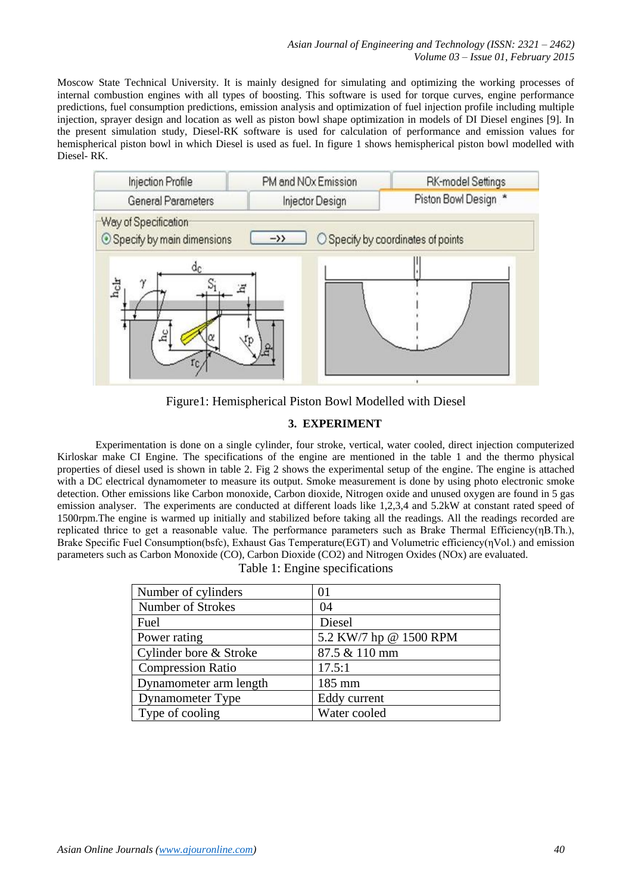Moscow State Technical University. It is mainly designed for simulating and optimizing the working processes of internal combustion engines with all types of boosting. This software is used for torque curves, engine performance predictions, fuel consumption predictions, emission analysis and optimization of fuel injection profile including multiple injection, sprayer design and location as well as piston bowl shape optimization in models of DI Diesel engines [9]. In the present simulation study, Diesel-RK software is used for calculation of performance and emission values for hemispherical piston bowl in which Diesel is used as fuel. In figure 1 shows hemispherical piston bowl modelled with Diesel- RK.



Figure1: Hemispherical Piston Bowl Modelled with Diesel

# **3. EXPERIMENT**

Experimentation is done on a single cylinder, four stroke, vertical, water cooled, direct injection computerized Kirloskar make CI Engine. The specifications of the engine are mentioned in the table 1 and the thermo physical properties of diesel used is shown in table 2. Fig 2 shows the experimental setup of the engine. The engine is attached with a DC electrical dynamometer to measure its output. Smoke measurement is done by using photo electronic smoke detection. Other emissions like Carbon monoxide, Carbon dioxide, Nitrogen oxide and unused oxygen are found in 5 gas emission analyser. The experiments are conducted at different loads like 1,2,3,4 and 5.2kW at constant rated speed of 1500rpm.The engine is warmed up initially and stabilized before taking all the readings. All the readings recorded are replicated thrice to get a reasonable value. The performance parameters such as Brake Thermal Efficiency(ηB.Th.), Brake Specific Fuel Consumption(bsfc), Exhaust Gas Temperature(EGT) and Volumetric efficiency(ηVol.) and emission parameters such as Carbon Monoxide (CO), Carbon Dioxide (CO2) and Nitrogen Oxides (NOx) are evaluated.

| Table 1: Engine specifications |  |
|--------------------------------|--|
|--------------------------------|--|

| Number of cylinders      | 01                     |
|--------------------------|------------------------|
| Number of Strokes        | 04                     |
| Fuel                     | Diesel                 |
| Power rating             | 5.2 KW/7 hp @ 1500 RPM |
| Cylinder bore & Stroke   | 87.5 & 110 mm          |
| <b>Compression Ratio</b> | 17.5:1                 |
| Dynamometer arm length   | 185 mm                 |
| <b>Dynamometer Type</b>  | Eddy current           |
| Type of cooling          | Water cooled           |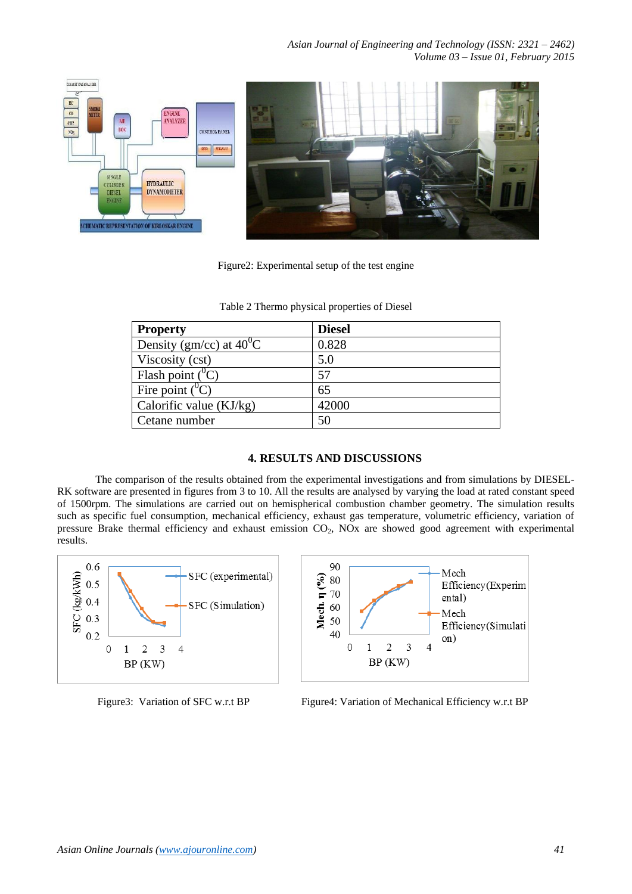

Figure2: Experimental setup of the test engine

| <b>Property</b>                   | <b>Diesel</b> |
|-----------------------------------|---------------|
| Density (gm/cc) at $40^{\circ}$ C | 0.828         |
| Viscosity (cst)                   | 5.0           |
| Flash point $(^0C)$               | 57            |
| Fire point $(^0C)$                | 65            |
| Calorific value $(KJ/kg)$         | 42000         |
| Cetane number                     | 50            |

Table 2 Thermo physical properties of Diesel

## **4. RESULTS AND DISCUSSIONS**

The comparison of the results obtained from the experimental investigations and from simulations by DIESEL-RK software are presented in figures from 3 to 10. All the results are analysed by varying the load at rated constant speed of 1500rpm. The simulations are carried out on hemispherical combustion chamber geometry. The simulation results such as specific fuel consumption, mechanical efficiency, exhaust gas temperature, volumetric efficiency, variation of pressure Brake thermal efficiency and exhaust emission CO<sub>2</sub>, NO<sub>x</sub> are showed good agreement with experimental results.





Figure3: Variation of SFC w.r.t BP Figure4: Variation of Mechanical Efficiency w.r.t BP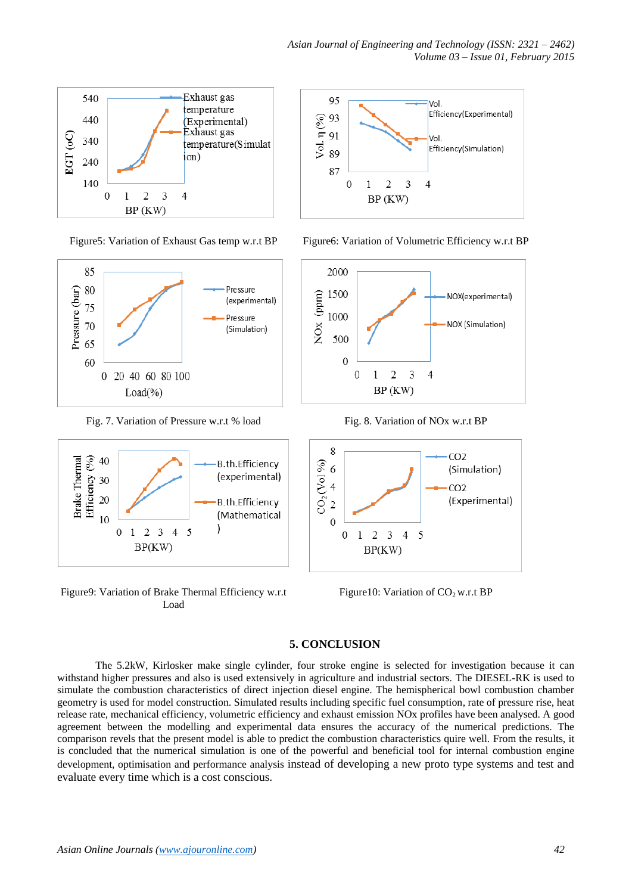



Fig. 7. Variation of Pressure w.r.t % load Fig. 8. Variation of NOx w.r.t BP



Figure9: Variation of Brake Thermal Efficiency w.r.t Load



Figure5: Variation of Exhaust Gas temp w.r.t BP Figure6: Variation of Volumetric Efficiency w.r.t BP





Figure10: Variation of  $CO<sub>2</sub>$  w.r.t BP

# **5. CONCLUSION**

The 5.2kW, Kirlosker make single cylinder, four stroke engine is selected for investigation because it can withstand higher pressures and also is used extensively in agriculture and industrial sectors. The DIESEL-RK is used to simulate the combustion characteristics of direct injection diesel engine. The hemispherical bowl combustion chamber geometry is used for model construction. Simulated results including specific fuel consumption, rate of pressure rise, heat release rate, mechanical efficiency, volumetric efficiency and exhaust emission NOx profiles have been analysed. A good agreement between the modelling and experimental data ensures the accuracy of the numerical predictions. The comparison revels that the present model is able to predict the combustion characteristics quire well. From the results, it is concluded that the numerical simulation is one of the powerful and beneficial tool for internal combustion engine development, optimisation and performance analysis instead of developing a new proto type systems and test and evaluate every time which is a cost conscious.